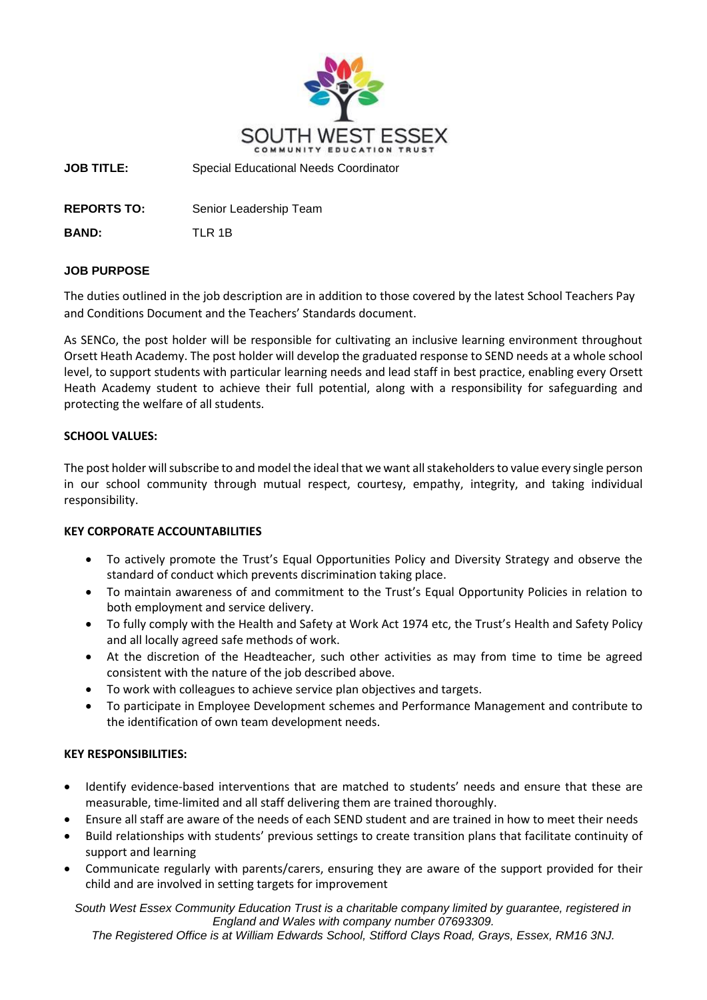

**JOB TITLE:** Special Educational Needs Coordinator

**REPORTS TO:** Senior Leadership Team

**BAND:** TLR 1B

#### **JOB PURPOSE**

The duties outlined in the job description are in addition to those covered by the latest School Teachers Pay and Conditions Document and the Teachers' Standards document.

As SENCo, the post holder will be responsible for cultivating an inclusive learning environment throughout Orsett Heath Academy. The post holder will develop the graduated response to SEND needs at a whole school level, to support students with particular learning needs and lead staff in best practice, enabling every Orsett Heath Academy student to achieve their full potential, along with a responsibility for safeguarding and protecting the welfare of all students.

#### **SCHOOL VALUES:**

The post holder will subscribe to and model the ideal that we want all stakeholders to value every single person in our school community through mutual respect, courtesy, empathy, integrity, and taking individual responsibility.

# **KEY CORPORATE ACCOUNTABILITIES**

- To actively promote the Trust's Equal Opportunities Policy and Diversity Strategy and observe the standard of conduct which prevents discrimination taking place.
- To maintain awareness of and commitment to the Trust's Equal Opportunity Policies in relation to both employment and service delivery.
- To fully comply with the Health and Safety at Work Act 1974 etc, the Trust's Health and Safety Policy and all locally agreed safe methods of work.
- At the discretion of the Headteacher, such other activities as may from time to time be agreed consistent with the nature of the job described above.
- To work with colleagues to achieve service plan objectives and targets.
- To participate in Employee Development schemes and Performance Management and contribute to the identification of own team development needs.

# **KEY RESPONSIBILITIES:**

- Identify evidence-based interventions that are matched to students' needs and ensure that these are measurable, time-limited and all staff delivering them are trained thoroughly.
- Ensure all staff are aware of the needs of each SEND student and are trained in how to meet their needs
- Build relationships with students' previous settings to create transition plans that facilitate continuity of support and learning
- Communicate regularly with parents/carers, ensuring they are aware of the support provided for their child and are involved in setting targets for improvement

*South West Essex Community Education Trust is a charitable company limited by guarantee, registered in England and Wales with company number 07693309.* 

*The Registered Office is at William Edwards School, Stifford Clays Road, Grays, Essex, RM16 3NJ.*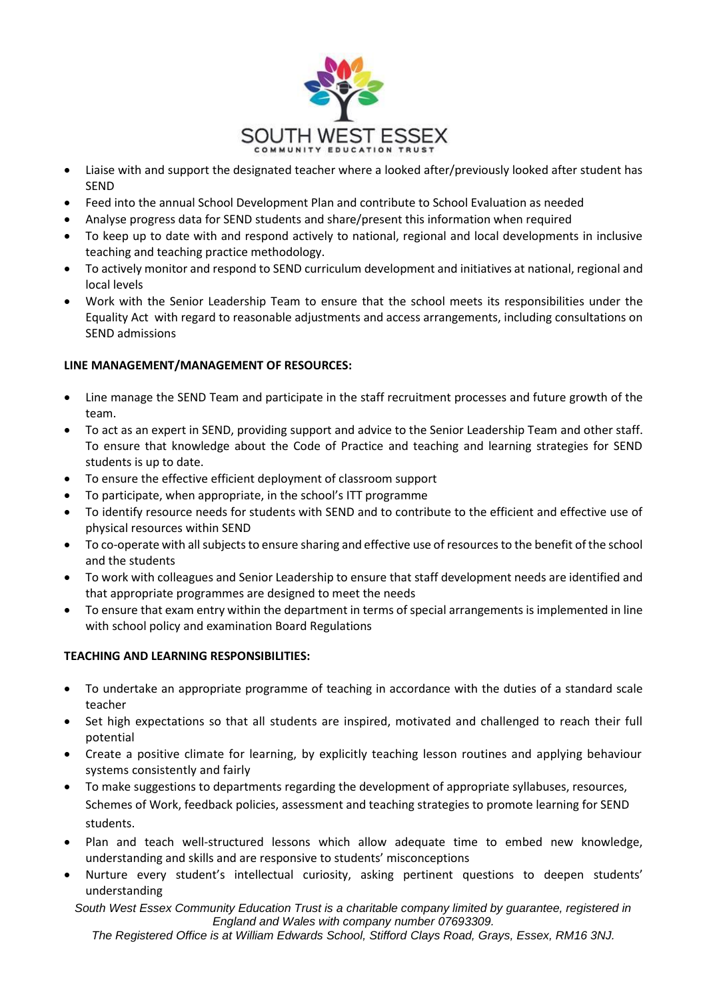

- Liaise with and support the designated teacher where a looked after/previously looked after student has SEND
- Feed into the annual School Development Plan and contribute to School Evaluation as needed
- Analyse progress data for SEND students and share/present this information when required
- To keep up to date with and respond actively to national, regional and local developments in inclusive teaching and teaching practice methodology.
- To actively monitor and respond to SEND curriculum development and initiatives at national, regional and local levels
- Work with the Senior Leadership Team to ensure that the school meets its responsibilities under the Equality Act with regard to reasonable adjustments and access arrangements, including consultations on SEND admissions

# **LINE MANAGEMENT/MANAGEMENT OF RESOURCES:**

- Line manage the SEND Team and participate in the staff recruitment processes and future growth of the team.
- To act as an expert in SEND, providing support and advice to the Senior Leadership Team and other staff. To ensure that knowledge about the Code of Practice and teaching and learning strategies for SEND students is up to date.
- To ensure the effective efficient deployment of classroom support
- To participate, when appropriate, in the school's ITT programme
- To identify resource needs for students with SEND and to contribute to the efficient and effective use of physical resources within SEND
- To co-operate with all subjects to ensure sharing and effective use of resources to the benefit of the school and the students
- To work with colleagues and Senior Leadership to ensure that staff development needs are identified and that appropriate programmes are designed to meet the needs
- To ensure that exam entry within the department in terms of special arrangements is implemented in line with school policy and examination Board Regulations

# **TEACHING AND LEARNING RESPONSIBILITIES:**

- To undertake an appropriate programme of teaching in accordance with the duties of a standard scale teacher
- Set high expectations so that all students are inspired, motivated and challenged to reach their full potential
- Create a positive climate for learning, by explicitly teaching lesson routines and applying behaviour systems consistently and fairly
- To make suggestions to departments regarding the development of appropriate syllabuses, resources, Schemes of Work, feedback policies, assessment and teaching strategies to promote learning for SEND students.
- Plan and teach well-structured lessons which allow adequate time to embed new knowledge, understanding and skills and are responsive to students' misconceptions
- Nurture every student's intellectual curiosity, asking pertinent questions to deepen students' understanding

*South West Essex Community Education Trust is a charitable company limited by guarantee, registered in England and Wales with company number 07693309.* 

*The Registered Office is at William Edwards School, Stifford Clays Road, Grays, Essex, RM16 3NJ.*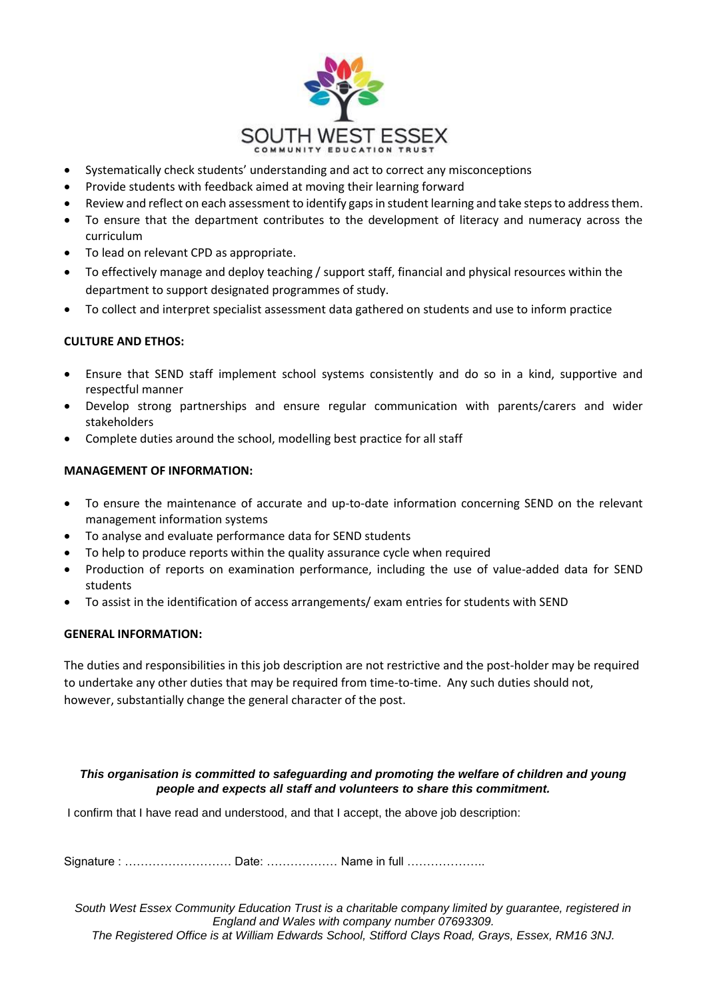

- Systematically check students' understanding and act to correct any misconceptions
- Provide students with feedback aimed at moving their learning forward
- Review and reflect on each assessment to identify gaps in student learning and take steps to address them.
- To ensure that the department contributes to the development of literacy and numeracy across the curriculum
- To lead on relevant CPD as appropriate.
- To effectively manage and deploy teaching / support staff, financial and physical resources within the department to support designated programmes of study.
- To collect and interpret specialist assessment data gathered on students and use to inform practice

# **CULTURE AND ETHOS:**

- Ensure that SEND staff implement school systems consistently and do so in a kind, supportive and respectful manner
- Develop strong partnerships and ensure regular communication with parents/carers and wider stakeholders
- Complete duties around the school, modelling best practice for all staff

#### **MANAGEMENT OF INFORMATION:**

- To ensure the maintenance of accurate and up-to-date information concerning SEND on the relevant management information systems
- To analyse and evaluate performance data for SEND students
- To help to produce reports within the quality assurance cycle when required
- Production of reports on examination performance, including the use of value-added data for SEND students
- To assist in the identification of access arrangements/ exam entries for students with SEND

#### **GENERAL INFORMATION:**

The duties and responsibilities in this job description are not restrictive and the post-holder may be required to undertake any other duties that may be required from time-to-time. Any such duties should not, however, substantially change the general character of the post.

#### *This organisation is committed to safeguarding and promoting the welfare of children and young people and expects all staff and volunteers to share this commitment.*

I confirm that I have read and understood, and that I accept, the above job description:

Signature : ……………………… Date: ……………… Name in full ………………..

*South West Essex Community Education Trust is a charitable company limited by guarantee, registered in England and Wales with company number 07693309. The Registered Office is at William Edwards School, Stifford Clays Road, Grays, Essex, RM16 3NJ.*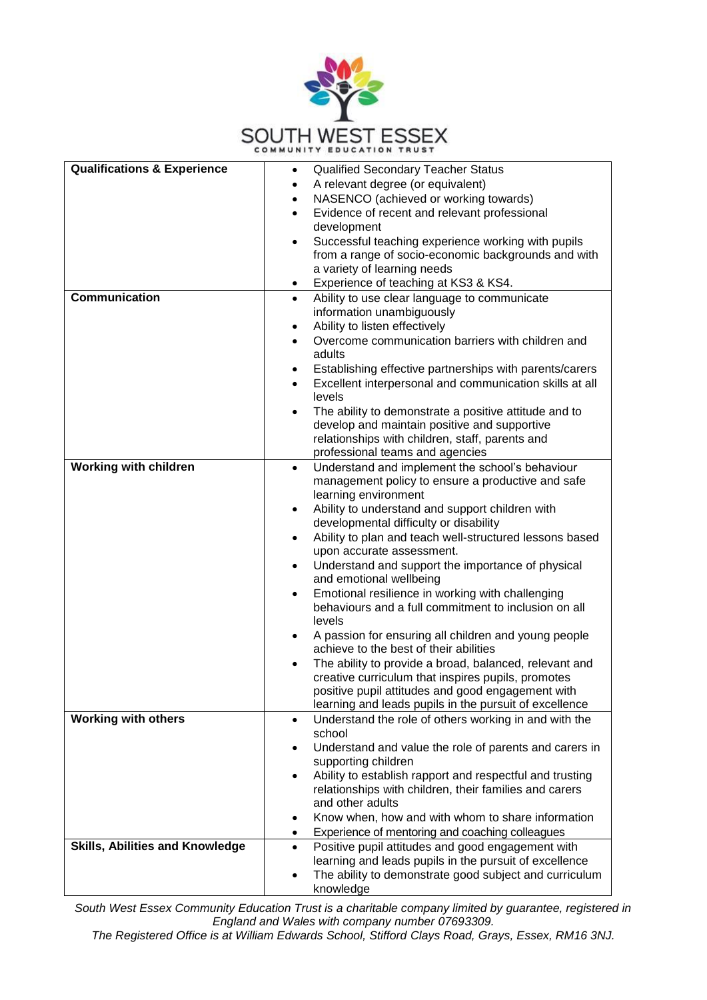

| <b>Qualifications &amp; Experience</b> | <b>Qualified Secondary Teacher Status</b>                                                  |
|----------------------------------------|--------------------------------------------------------------------------------------------|
|                                        | A relevant degree (or equivalent)                                                          |
|                                        | NASENCO (achieved or working towards)<br>$\bullet$                                         |
|                                        | Evidence of recent and relevant professional                                               |
|                                        | development                                                                                |
|                                        | Successful teaching experience working with pupils                                         |
|                                        | from a range of socio-economic backgrounds and with                                        |
|                                        | a variety of learning needs                                                                |
|                                        | Experience of teaching at KS3 & KS4.<br>$\bullet$                                          |
| <b>Communication</b>                   | Ability to use clear language to communicate<br>$\bullet$                                  |
|                                        | information unambiguously                                                                  |
|                                        | Ability to listen effectively                                                              |
|                                        | Overcome communication barriers with children and                                          |
|                                        | adults                                                                                     |
|                                        | Establishing effective partnerships with parents/carers                                    |
|                                        | Excellent interpersonal and communication skills at all                                    |
|                                        | levels                                                                                     |
|                                        | The ability to demonstrate a positive attitude and to                                      |
|                                        | develop and maintain positive and supportive                                               |
|                                        | relationships with children, staff, parents and                                            |
|                                        | professional teams and agencies                                                            |
| <b>Working with children</b>           | Understand and implement the school's behaviour<br>$\bullet$                               |
|                                        | management policy to ensure a productive and safe                                          |
|                                        | learning environment                                                                       |
|                                        | Ability to understand and support children with<br>$\bullet$                               |
|                                        | developmental difficulty or disability                                                     |
|                                        | Ability to plan and teach well-structured lessons based<br>$\bullet$                       |
|                                        | upon accurate assessment.                                                                  |
|                                        | Understand and support the importance of physical<br>$\bullet$                             |
|                                        | and emotional wellbeing                                                                    |
|                                        | Emotional resilience in working with challenging<br>$\bullet$                              |
|                                        | behaviours and a full commitment to inclusion on all                                       |
|                                        | levels                                                                                     |
|                                        | A passion for ensuring all children and young people<br>٠                                  |
|                                        | achieve to the best of their abilities                                                     |
|                                        | The ability to provide a broad, balanced, relevant and<br>$\bullet$                        |
|                                        | creative curriculum that inspires pupils, promotes                                         |
|                                        | positive pupil attitudes and good engagement with                                          |
|                                        | learning and leads pupils in the pursuit of excellence                                     |
| <b>Working with others</b>             | Understand the role of others working in and with the<br>$\bullet$<br>school               |
|                                        |                                                                                            |
|                                        | Understand and value the role of parents and carers in<br>$\bullet$<br>supporting children |
|                                        | Ability to establish rapport and respectful and trusting                                   |
|                                        | relationships with children, their families and carers                                     |
|                                        | and other adults                                                                           |
|                                        | Know when, how and with whom to share information<br>$\bullet$                             |
|                                        | Experience of mentoring and coaching colleagues<br>$\bullet$                               |
| <b>Skills, Abilities and Knowledge</b> | Positive pupil attitudes and good engagement with                                          |
|                                        | learning and leads pupils in the pursuit of excellence                                     |
|                                        | The ability to demonstrate good subject and curriculum                                     |
|                                        | knowledge                                                                                  |

*South West Essex Community Education Trust is a charitable company limited by guarantee, registered in England and Wales with company number 07693309.* 

*The Registered Office is at William Edwards School, Stifford Clays Road, Grays, Essex, RM16 3NJ.*